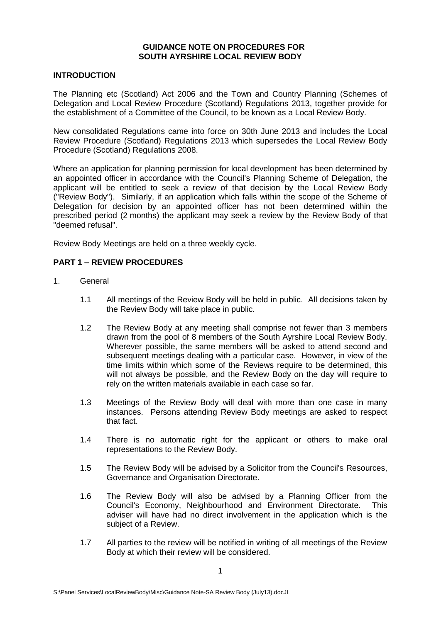### **GUIDANCE NOTE ON PROCEDURES FOR SOUTH AYRSHIRE LOCAL REVIEW BODY**

### **INTRODUCTION**

The Planning etc (Scotland) Act 2006 and the Town and Country Planning (Schemes of Delegation and Local Review Procedure (Scotland) Regulations 2013, together provide for the establishment of a Committee of the Council, to be known as a Local Review Body.

New consolidated Regulations came into force on 30th June 2013 and includes the Local Review Procedure (Scotland) Regulations 2013 which supersedes the Local Review Body Procedure (Scotland) Regulations 2008.

Where an application for planning permission for local development has been determined by an appointed officer in accordance with the Council's Planning Scheme of Delegation, the applicant will be entitled to seek a review of that decision by the Local Review Body ("Review Body"). Similarly, if an application which falls within the scope of the Scheme of Delegation for decision by an appointed officer has not been determined within the prescribed period (2 months) the applicant may seek a review by the Review Body of that "deemed refusal".

Review Body Meetings are held on a three weekly cycle.

# **PART 1 – REVIEW PROCEDURES**

- 1. General
	- 1.1 All meetings of the Review Body will be held in public. All decisions taken by the Review Body will take place in public.
	- 1.2 The Review Body at any meeting shall comprise not fewer than 3 members drawn from the pool of 8 members of the South Ayrshire Local Review Body. Wherever possible, the same members will be asked to attend second and subsequent meetings dealing with a particular case. However, in view of the time limits within which some of the Reviews require to be determined, this will not always be possible, and the Review Body on the day will require to rely on the written materials available in each case so far.
	- 1.3 Meetings of the Review Body will deal with more than one case in many instances. Persons attending Review Body meetings are asked to respect that fact.
	- 1.4 There is no automatic right for the applicant or others to make oral representations to the Review Body.
	- 1.5 The Review Body will be advised by a Solicitor from the Council's Resources, Governance and Organisation Directorate.
	- 1.6 The Review Body will also be advised by a Planning Officer from the Council's Economy, Neighbourhood and Environment Directorate. This adviser will have had no direct involvement in the application which is the subject of a Review.
	- 1.7 All parties to the review will be notified in writing of all meetings of the Review Body at which their review will be considered.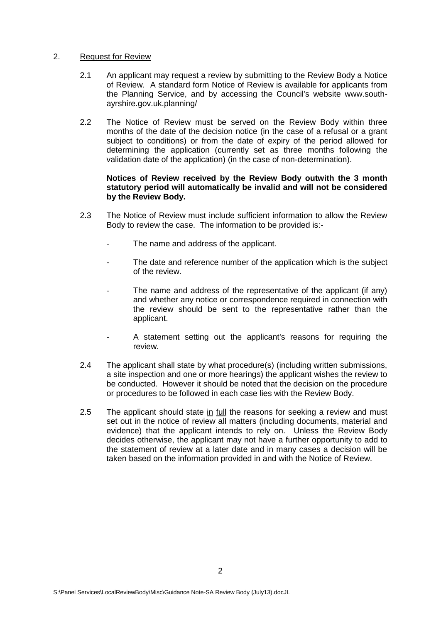#### 2. Request for Review

- 2.1 An applicant may request a review by submitting to the Review Body a Notice of Review. A standard form Notice of Review is available for applicants from the Planning Service, and by accessing the Council's website www.southayrshire.gov.uk.planning/
- 2.2 The Notice of Review must be served on the Review Body within three months of the date of the decision notice (in the case of a refusal or a grant subject to conditions) or from the date of expiry of the period allowed for determining the application (currently set as three months following the validation date of the application) (in the case of non-determination).

### **Notices of Review received by the Review Body outwith the 3 month statutory period will automatically be invalid and will not be considered by the Review Body.**

- 2.3 The Notice of Review must include sufficient information to allow the Review Body to review the case. The information to be provided is:-
	- The name and address of the applicant.
	- The date and reference number of the application which is the subject of the review.
	- The name and address of the representative of the applicant (if any) and whether any notice or correspondence required in connection with the review should be sent to the representative rather than the applicant.
	- A statement setting out the applicant's reasons for requiring the review.
- 2.4 The applicant shall state by what procedure(s) (including written submissions, a site inspection and one or more hearings) the applicant wishes the review to be conducted. However it should be noted that the decision on the procedure or procedures to be followed in each case lies with the Review Body.
- 2.5 The applicant should state in full the reasons for seeking a review and must set out in the notice of review all matters (including documents, material and evidence) that the applicant intends to rely on. Unless the Review Body decides otherwise, the applicant may not have a further opportunity to add to the statement of review at a later date and in many cases a decision will be taken based on the information provided in and with the Notice of Review.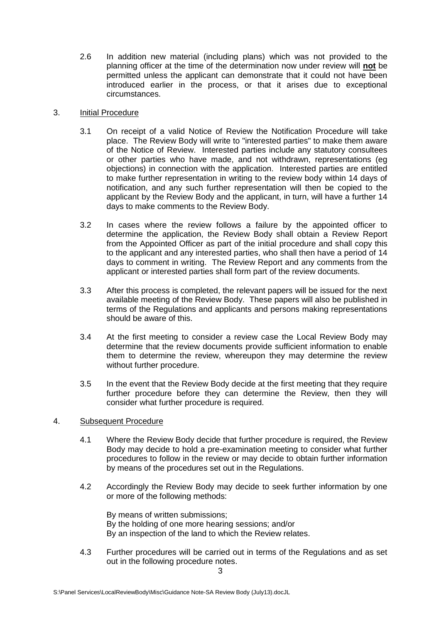2.6 In addition new material (including plans) which was not provided to the planning officer at the time of the determination now under review will **not** be permitted unless the applicant can demonstrate that it could not have been introduced earlier in the process, or that it arises due to exceptional circumstances.

## 3. Initial Procedure

- 3.1 On receipt of a valid Notice of Review the Notification Procedure will take place. The Review Body will write to "interested parties" to make them aware of the Notice of Review. Interested parties include any statutory consultees or other parties who have made, and not withdrawn, representations (eg objections) in connection with the application. Interested parties are entitled to make further representation in writing to the review body within 14 days of notification, and any such further representation will then be copied to the applicant by the Review Body and the applicant, in turn, will have a further 14 days to make comments to the Review Body.
- 3.2 In cases where the review follows a failure by the appointed officer to determine the application, the Review Body shall obtain a Review Report from the Appointed Officer as part of the initial procedure and shall copy this to the applicant and any interested parties, who shall then have a period of 14 days to comment in writing. The Review Report and any comments from the applicant or interested parties shall form part of the review documents.
- 3.3 After this process is completed, the relevant papers will be issued for the next available meeting of the Review Body. These papers will also be published in terms of the Regulations and applicants and persons making representations should be aware of this.
- 3.4 At the first meeting to consider a review case the Local Review Body may determine that the review documents provide sufficient information to enable them to determine the review, whereupon they may determine the review without further procedure.
- 3.5 In the event that the Review Body decide at the first meeting that they require further procedure before they can determine the Review, then they will consider what further procedure is required.

# 4. Subsequent Procedure

- 4.1 Where the Review Body decide that further procedure is required, the Review Body may decide to hold a pre-examination meeting to consider what further procedures to follow in the review or may decide to obtain further information by means of the procedures set out in the Regulations.
- 4.2 Accordingly the Review Body may decide to seek further information by one or more of the following methods:

By means of written submissions; By the holding of one more hearing sessions; and/or By an inspection of the land to which the Review relates.

4.3 Further procedures will be carried out in terms of the Regulations and as set out in the following procedure notes.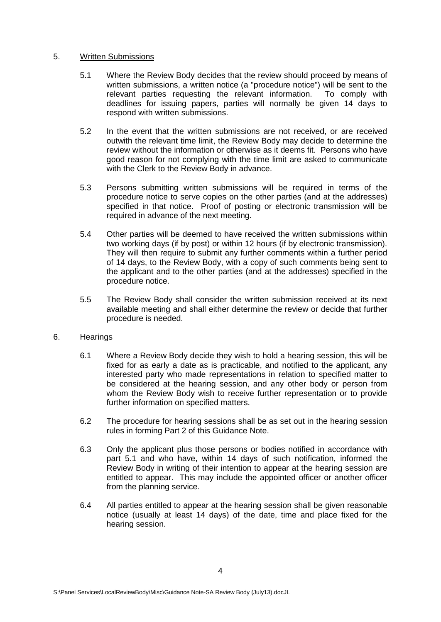### 5. Written Submissions

- 5.1 Where the Review Body decides that the review should proceed by means of written submissions, a written notice (a "procedure notice") will be sent to the relevant parties requesting the relevant information. To comply with deadlines for issuing papers, parties will normally be given 14 days to respond with written submissions.
- 5.2 In the event that the written submissions are not received, or are received outwith the relevant time limit, the Review Body may decide to determine the review without the information or otherwise as it deems fit. Persons who have good reason for not complying with the time limit are asked to communicate with the Clerk to the Review Body in advance.
- 5.3 Persons submitting written submissions will be required in terms of the procedure notice to serve copies on the other parties (and at the addresses) specified in that notice. Proof of posting or electronic transmission will be required in advance of the next meeting.
- 5.4 Other parties will be deemed to have received the written submissions within two working days (if by post) or within 12 hours (if by electronic transmission). They will then require to submit any further comments within a further period of 14 days, to the Review Body, with a copy of such comments being sent to the applicant and to the other parties (and at the addresses) specified in the procedure notice.
- 5.5 The Review Body shall consider the written submission received at its next available meeting and shall either determine the review or decide that further procedure is needed.

# 6. Hearings

- 6.1 Where a Review Body decide they wish to hold a hearing session, this will be fixed for as early a date as is practicable, and notified to the applicant, any interested party who made representations in relation to specified matter to be considered at the hearing session, and any other body or person from whom the Review Body wish to receive further representation or to provide further information on specified matters.
- 6.2 The procedure for hearing sessions shall be as set out in the hearing session rules in forming Part 2 of this Guidance Note.
- 6.3 Only the applicant plus those persons or bodies notified in accordance with part 5.1 and who have, within 14 days of such notification, informed the Review Body in writing of their intention to appear at the hearing session are entitled to appear. This may include the appointed officer or another officer from the planning service.
- 6.4 All parties entitled to appear at the hearing session shall be given reasonable notice (usually at least 14 days) of the date, time and place fixed for the hearing session.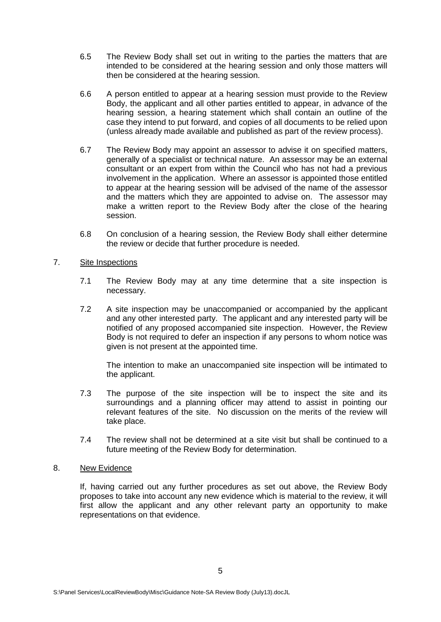- 6.5 The Review Body shall set out in writing to the parties the matters that are intended to be considered at the hearing session and only those matters will then be considered at the hearing session.
- 6.6 A person entitled to appear at a hearing session must provide to the Review Body, the applicant and all other parties entitled to appear, in advance of the hearing session, a hearing statement which shall contain an outline of the case they intend to put forward, and copies of all documents to be relied upon (unless already made available and published as part of the review process).
- 6.7 The Review Body may appoint an assessor to advise it on specified matters, generally of a specialist or technical nature. An assessor may be an external consultant or an expert from within the Council who has not had a previous involvement in the application. Where an assessor is appointed those entitled to appear at the hearing session will be advised of the name of the assessor and the matters which they are appointed to advise on. The assessor may make a written report to the Review Body after the close of the hearing session.
- 6.8 On conclusion of a hearing session, the Review Body shall either determine the review or decide that further procedure is needed.

## 7. Site Inspections

- 7.1 The Review Body may at any time determine that a site inspection is necessary.
- 7.2 A site inspection may be unaccompanied or accompanied by the applicant and any other interested party. The applicant and any interested party will be notified of any proposed accompanied site inspection. However, the Review Body is not required to defer an inspection if any persons to whom notice was given is not present at the appointed time.

The intention to make an unaccompanied site inspection will be intimated to the applicant.

- 7.3 The purpose of the site inspection will be to inspect the site and its surroundings and a planning officer may attend to assist in pointing our relevant features of the site. No discussion on the merits of the review will take place.
- 7.4 The review shall not be determined at a site visit but shall be continued to a future meeting of the Review Body for determination.

#### 8. New Evidence

If, having carried out any further procedures as set out above, the Review Body proposes to take into account any new evidence which is material to the review, it will first allow the applicant and any other relevant party an opportunity to make representations on that evidence.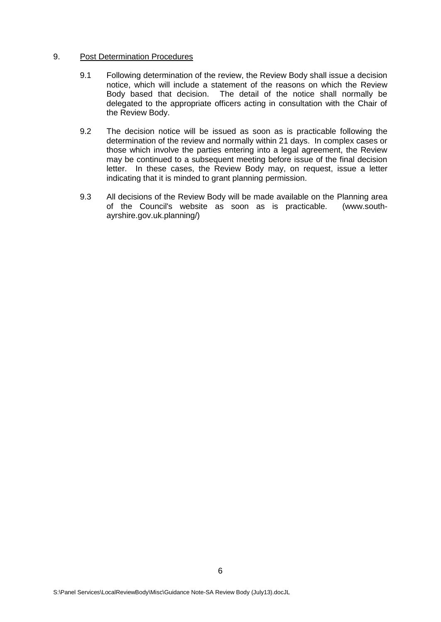#### 9. Post Determination Procedures

- 9.1 Following determination of the review, the Review Body shall issue a decision notice, which will include a statement of the reasons on which the Review Body based that decision. The detail of the notice shall normally be delegated to the appropriate officers acting in consultation with the Chair of the Review Body.
- 9.2 The decision notice will be issued as soon as is practicable following the determination of the review and normally within 21 days. In complex cases or those which involve the parties entering into a legal agreement, the Review may be continued to a subsequent meeting before issue of the final decision letter. In these cases, the Review Body may, on request, issue a letter indicating that it is minded to grant planning permission.
- 9.3 All decisions of the Review Body will be made available on the Planning area of the Council's website as soon as is practicable. (www.southayrshire.gov.uk.planning/)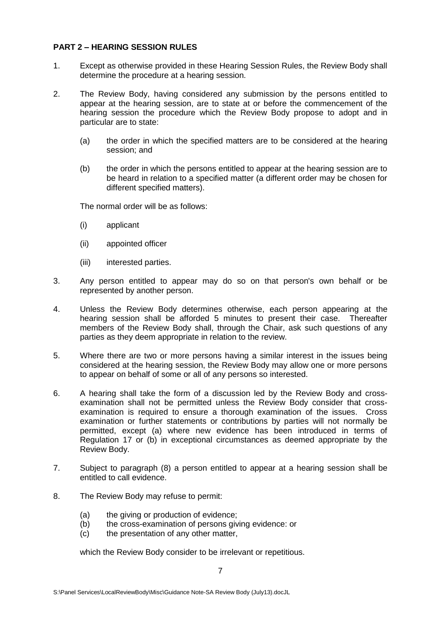# **PART 2 – HEARING SESSION RULES**

- 1. Except as otherwise provided in these Hearing Session Rules, the Review Body shall determine the procedure at a hearing session.
- 2. The Review Body, having considered any submission by the persons entitled to appear at the hearing session, are to state at or before the commencement of the hearing session the procedure which the Review Body propose to adopt and in particular are to state:
	- (a) the order in which the specified matters are to be considered at the hearing session; and
	- (b) the order in which the persons entitled to appear at the hearing session are to be heard in relation to a specified matter (a different order may be chosen for different specified matters).

The normal order will be as follows:

- (i) applicant
- (ii) appointed officer
- (iii) interested parties.
- 3. Any person entitled to appear may do so on that person's own behalf or be represented by another person.
- 4. Unless the Review Body determines otherwise, each person appearing at the hearing session shall be afforded 5 minutes to present their case. Thereafter members of the Review Body shall, through the Chair, ask such questions of any parties as they deem appropriate in relation to the review.
- 5. Where there are two or more persons having a similar interest in the issues being considered at the hearing session, the Review Body may allow one or more persons to appear on behalf of some or all of any persons so interested.
- 6. A hearing shall take the form of a discussion led by the Review Body and crossexamination shall not be permitted unless the Review Body consider that crossexamination is required to ensure a thorough examination of the issues. Cross examination or further statements or contributions by parties will not normally be permitted, except (a) where new evidence has been introduced in terms of Regulation 17 or (b) in exceptional circumstances as deemed appropriate by the Review Body.
- 7. Subject to paragraph (8) a person entitled to appear at a hearing session shall be entitled to call evidence.
- 8. The Review Body may refuse to permit:
	- (a) the giving or production of evidence;
	- (b) the cross-examination of persons giving evidence: or
	- (c) the presentation of any other matter,

which the Review Body consider to be irrelevant or repetitious.